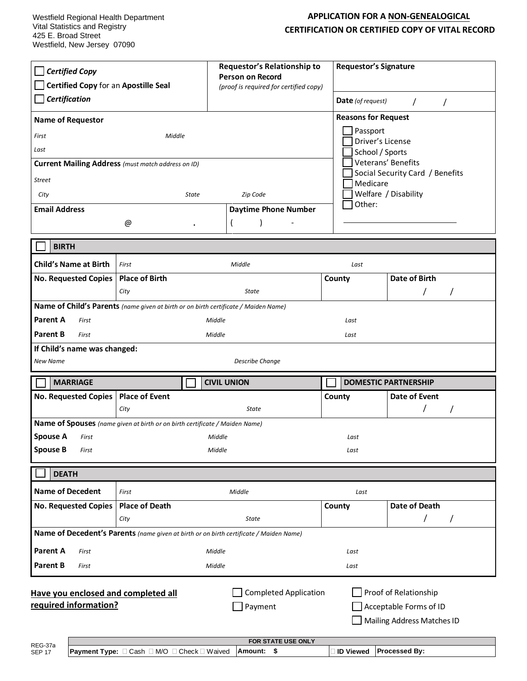## **APPLICATION FOR A NON-GENEALOGICAL CERTIFICATION OR CERTIFIED COPY OF VITAL RECORD**

| <b>Certified Copy</b><br>Certified Copy for an Apostille Seal<br>Certification<br><b>Name of Requestor</b><br>First<br>Last<br><b>Street</b><br>City                                                                      | Middle<br>Current Mailing Address (must match address on ID)<br>State                       | Requestor's Relationship to<br><b>Person on Record</b><br>(proof is required for certified copy)<br>Zip Code |                  | <b>Requestor's Signature</b><br><b>Date</b> (of request)<br>$\prime$<br>$\prime$<br><b>Reasons for Request</b><br>Passport<br>Driver's License<br>School / Sports<br>Veterans' Benefits<br>Social Security Card / Benefits<br>Medicare<br>Welfare / Disability |  |
|---------------------------------------------------------------------------------------------------------------------------------------------------------------------------------------------------------------------------|---------------------------------------------------------------------------------------------|--------------------------------------------------------------------------------------------------------------|------------------|----------------------------------------------------------------------------------------------------------------------------------------------------------------------------------------------------------------------------------------------------------------|--|
| <b>Email Address</b>                                                                                                                                                                                                      |                                                                                             | <b>Daytime Phone Number</b>                                                                                  | Other:           |                                                                                                                                                                                                                                                                |  |
|                                                                                                                                                                                                                           | @<br>$\bullet$                                                                              |                                                                                                              |                  |                                                                                                                                                                                                                                                                |  |
| <b>BIRTH</b>                                                                                                                                                                                                              |                                                                                             |                                                                                                              |                  |                                                                                                                                                                                                                                                                |  |
| <b>Child's Name at Birth</b>                                                                                                                                                                                              | Middle<br>First                                                                             |                                                                                                              | Last             |                                                                                                                                                                                                                                                                |  |
| No. Requested Copies                                                                                                                                                                                                      | <b>Place of Birth</b>                                                                       |                                                                                                              | County           | Date of Birth                                                                                                                                                                                                                                                  |  |
|                                                                                                                                                                                                                           | City<br>Name of Child's Parents (name given at birth or on birth certificate / Maiden Name) | State                                                                                                        |                  |                                                                                                                                                                                                                                                                |  |
| Parent A<br>First<br>Middle<br>Last<br><b>Parent B</b><br>Middle<br>First<br>Last<br>If Child's name was changed:<br><b>Describe Change</b><br>New Name                                                                   |                                                                                             |                                                                                                              |                  |                                                                                                                                                                                                                                                                |  |
| <b>MARRIAGE</b>                                                                                                                                                                                                           |                                                                                             | <b>CIVIL UNION</b>                                                                                           |                  | <b>DOMESTIC PARTNERSHIP</b>                                                                                                                                                                                                                                    |  |
| No. Requested Copies                                                                                                                                                                                                      | <b>Place of Event</b><br>City                                                               | State                                                                                                        | County           | Date of Event                                                                                                                                                                                                                                                  |  |
|                                                                                                                                                                                                                           | Name of Spouses (name given at birth or on birth certificate / Maiden Name)                 |                                                                                                              |                  |                                                                                                                                                                                                                                                                |  |
| <b>Spouse A</b><br>First                                                                                                                                                                                                  |                                                                                             | Middle                                                                                                       |                  | Last                                                                                                                                                                                                                                                           |  |
| <b>Spouse B</b><br>First                                                                                                                                                                                                  | Middle<br>Last                                                                              |                                                                                                              |                  |                                                                                                                                                                                                                                                                |  |
| <b>DEATH</b>                                                                                                                                                                                                              |                                                                                             |                                                                                                              |                  |                                                                                                                                                                                                                                                                |  |
| <b>Name of Decedent</b>                                                                                                                                                                                                   | First                                                                                       | Middle                                                                                                       | Last             |                                                                                                                                                                                                                                                                |  |
| <b>No. Requested Copies</b>                                                                                                                                                                                               | <b>Place of Death</b>                                                                       |                                                                                                              | County           | <b>Date of Death</b>                                                                                                                                                                                                                                           |  |
|                                                                                                                                                                                                                           | City                                                                                        | <b>State</b><br>Name of Decedent's Parents (name given at birth or on birth certificate / Maiden Name)       |                  | T<br>7                                                                                                                                                                                                                                                         |  |
| Parent A<br>First                                                                                                                                                                                                         |                                                                                             | Middle                                                                                                       | Last             |                                                                                                                                                                                                                                                                |  |
| <b>Parent B</b><br>First                                                                                                                                                                                                  |                                                                                             | Middle                                                                                                       | Last             |                                                                                                                                                                                                                                                                |  |
| Proof of Relationship<br><b>Completed Application</b><br>Have you enclosed and completed all<br>required information?<br>Payment<br>Acceptable Forms of ID<br>Mailing Address Matches ID<br>FOR STATE USE ONLY<br>REG-37a |                                                                                             |                                                                                                              |                  |                                                                                                                                                                                                                                                                |  |
| <b>SEP 17</b>                                                                                                                                                                                                             | Payment Type: □ Cash □ M/O □ Check □ Waived                                                 | Amount: \$                                                                                                   | <b>ID Viewed</b> | <b>Processed By:</b>                                                                                                                                                                                                                                           |  |